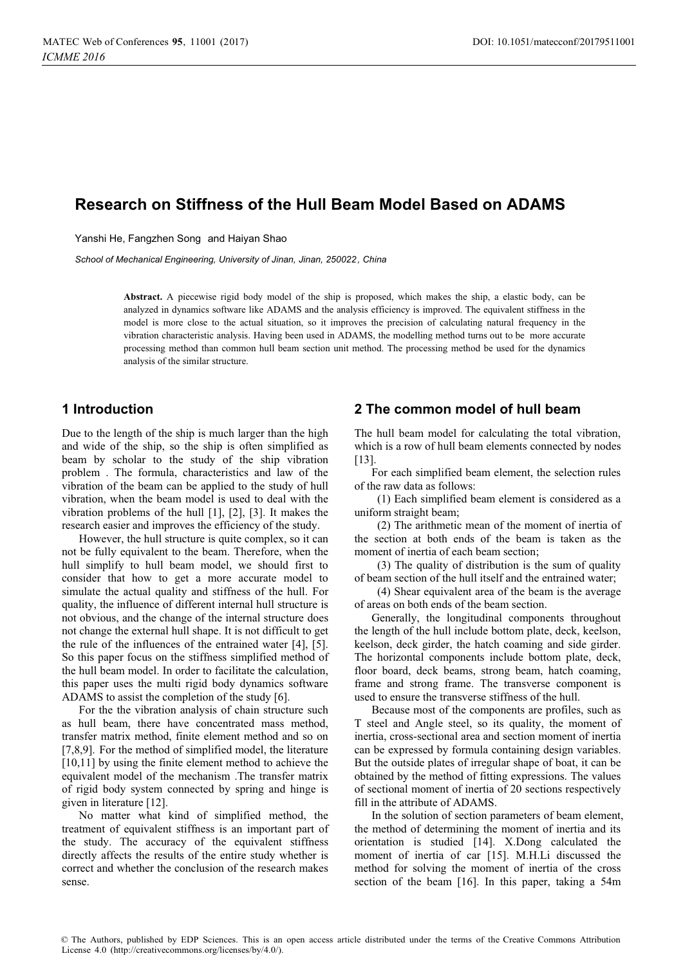# **Research on Stiffness of the Hull Beam Model Based on ADAMS**

Yanshi He, Fangzhen Song and Haiyan Shao

*School of Mechanical Engineering, University of Jinan, Jinan, 250022, China*

**Abstract.** A piecewise rigid body model of the ship is proposed, which makes the ship, a elastic body, can be analyzed in dynamics software like ADAMS and the analysis efficiency is improved. The equivalent stiffness in the model is more close to the actual situation, so it improves the precision of calculating natural frequency in the vibration characteristic analysis. Having been used in ADAMS, the modelling method turns out to be more accurate processing method than common hull beam section unit method. The processing method be used for the dynamics analysis of the similar structure.

## **1 Introduction**

Due to the length of the ship is much larger than the high and wide of the ship, so the ship is often simplified as beam by scholar to the study of the ship vibration problem . The formula, characteristics and law of the vibration of the beam can be applied to the study of hull vibration, when the beam model is used to deal with the vibration problems of the hull [1], [2], [3]. It makes the research easier and improves the efficiency of the study.

However, the hull structure is quite complex, so it can not be fully equivalent to the beam. Therefore, when the hull simplify to hull beam model, we should first to consider that how to get a more accurate model to simulate the actual quality and stiffness of the hull. For quality, the influence of different internal hull structure is not obvious, and the change of the internal structure does not change the external hull shape. It is not difficult to get the rule of the influences of the entrained water [4], [5]. So this paper focus on the stiffness simplified method of the hull beam model. In order to facilitate the calculation, this paper uses the multi rigid body dynamics software ADAMS to assist the completion of the study [6].

For the the vibration analysis of chain structure such as hull beam, there have concentrated mass method, transfer matrix method, finite element method and so on [7,8,9]. For the method of simplified model, the literature [10,11] by using the finite element method to achieve the equivalent model of the mechanism .The transfer matrix of rigid body system connected by spring and hinge is given in literature [12].

No matter what kind of simplified method, the treatment of equivalent stiffness is an important part of the study. The accuracy of the equivalent stiffness directly affects the results of the entire study whether is correct and whether the conclusion of the research makes sense.

## **2 The common model of hull beam**

The hull beam model for calculating the total vibration, which is a row of hull beam elements connected by nodes [13].

For each simplified beam element, the selection rules of the raw data as follows:

(1) Each simplified beam element is considered as a uniform straight beam;

(2) The arithmetic mean of the moment of inertia of the section at both ends of the beam is taken as the moment of inertia of each beam section;

(3) The quality of distribution is the sum of quality of beam section of the hull itself and the entrained water;

(4) Shear equivalent area of the beam is the average of areas on both ends of the beam section.

Generally, the longitudinal components throughout the length of the hull include bottom plate, deck, keelson, keelson, deck girder, the hatch coaming and side girder. The horizontal components include bottom plate, deck, floor board, deck beams, strong beam, hatch coaming, frame and strong frame. The transverse component is used to ensure the transverse stiffness of the hull.

Because most of the components are profiles, such as T steel and Angle steel, so its quality, the moment of inertia, cross-sectional area and section moment of inertia can be expressed by formula containing design variables. But the outside plates of irregular shape of boat, it can be obtained by the method of fitting expressions. The values of sectional moment of inertia of 20 sections respectively fill in the attribute of ADAMS.

In the solution of section parameters of beam element, the method of determining the moment of inertia and its orientation is studied [14]. X.Dong calculated the moment of inertia of car [15]. M.H.Li discussed the method for solving the moment of inertia of the cross section of the beam [16]. In this paper, taking a 54m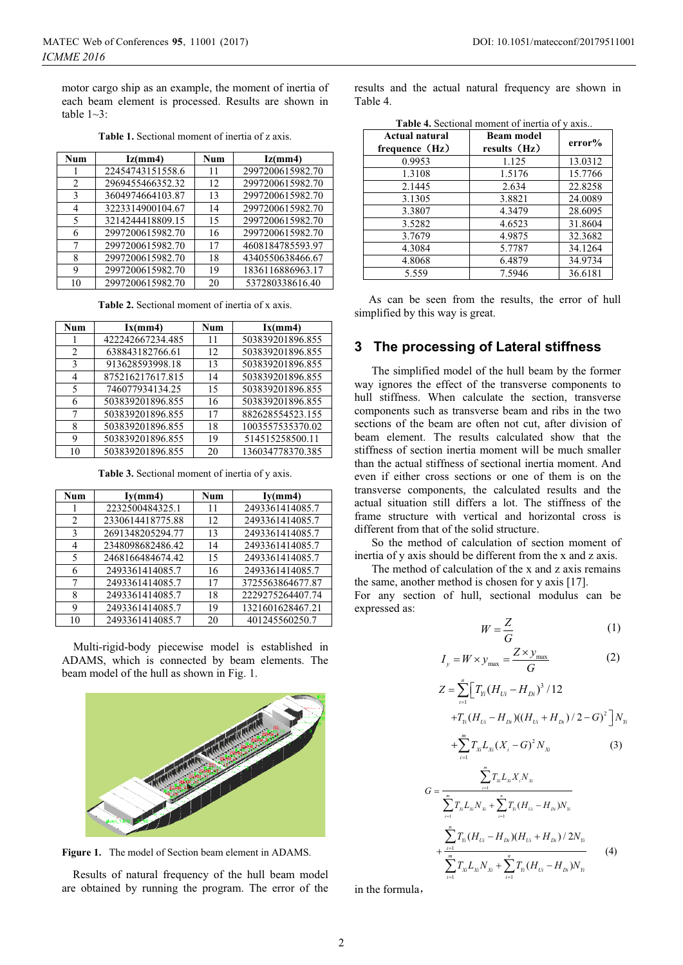motor cargo ship as an example, the moment of inertia of each beam element is processed. Results are shown in table  $1~-3$ :

| <b>Num</b>                    | Iz(mm4)          | Num | Iz(mm4)          |
|-------------------------------|------------------|-----|------------------|
|                               | 22454743151558.6 | 11  | 2997200615982.70 |
| $\mathfrak{D}_{\mathfrak{p}}$ | 2969455466352.32 | 12  | 2997200615982.70 |
| 3                             | 3604974664103.87 | 13  | 2997200615982.70 |
| 4                             | 3223314900104.67 | 14  | 2997200615982.70 |
| 5                             | 3214244418809.15 | 15  | 2997200615982.70 |
| 6                             | 2997200615982.70 | 16  | 2997200615982.70 |
| 7                             | 2997200615982.70 | 17  | 4608184785593.97 |
| 8                             | 2997200615982.70 | 18  | 4340550638466.67 |
| 9                             | 2997200615982.70 | 19  | 1836116886963.17 |
| 10                            | 2997200615982.70 | 20  | 537280338616.40  |

**Table 1.** Sectional moment of inertia of z axis.

**Table 2.** Sectional moment of inertia of x axis.

| Num | Ix(mm4)          | <b>Num</b> | Ix(mm4)          |
|-----|------------------|------------|------------------|
|     | 422242667234.485 | 11         | 503839201896.855 |
| 2   | 638843182766.61  | 12         | 503839201896.855 |
| 3   | 913628593998.18  | 13         | 503839201896.855 |
| 4   | 875216217617.815 | 14         | 503839201896.855 |
| 5   | 746077934134.25  | 15         | 503839201896.855 |
| 6   | 503839201896.855 | 16         | 503839201896.855 |
|     | 503839201896.855 | 17         | 882628554523.155 |
| 8   | 503839201896.855 | 18         | 1003557535370.02 |
| 9   | 503839201896.855 | 19         | 514515258500.11  |
|     | 503839201896.855 | 20         | 136034778370.385 |

**Table 3.** Sectional moment of inertia of y axis.

| Num | Iy(mm4)          | <b>Num</b> | Iy(mm4)          |
|-----|------------------|------------|------------------|
|     | 2232500484325.1  | 11         | 2493361414085.7  |
| 2   | 2330614418775.88 | 12         | 2493361414085.7  |
| 3   | 2691348205294.77 | 13         | 2493361414085.7  |
| 4   | 2348098682486.42 | 14         | 2493361414085.7  |
| 5   | 2468166484674.42 | 15         | 2493361414085.7  |
| 6   | 2493361414085.7  | 16         | 2493361414085.7  |
| 7   | 2493361414085.7  | 17         | 3725563864677.87 |
| 8   | 2493361414085.7  | 18         | 2229275264407.74 |
| 9   | 2493361414085.7  | 19         | 1321601628467.21 |
| 10  | 2493361414085.7  | 20         | 401245560250.7   |

Multi-rigid-body piecewise model is established in ADAMS, which is connected by beam elements. The beam model of the hull as shown in Fig. 1.



**Figure 1.** The model of Section beam element in ADAMS.

 Results of natural frequency of the hull beam model are obtained by running the program. The error of the results and the actual natural frequency are shown in Table 4.

| Actual natural<br>frequence (Hz) | <b>Beam model</b><br>results (Hz) | error%  |
|----------------------------------|-----------------------------------|---------|
| 0.9953                           | 1.125                             | 13.0312 |
| 1.3108                           | 1.5176                            | 15.7766 |
| 2.1445                           | 2.634                             | 22.8258 |
| 3.1305                           | 3.8821                            | 24.0089 |
| 3.3807                           | 4.3479                            | 28.6095 |
| 3.5282                           | 4.6523                            | 31.8604 |
| 3.7679                           | 4.9875                            | 32.3682 |
| 4.3084                           | 5.7787                            | 34.1264 |
| 4.8068                           | 6.4879                            | 34.9734 |
| 5.559                            | 7.5946                            | 36.6181 |

Table 4. Sectional moment of inertia of y axis...

 As can be seen from the results, the error of hull simplified by this way is great.

#### **3 The processing of Lateral stiffness**

The simplified model of the hull beam by the former way ignores the effect of the transverse components to hull stiffness. When calculate the section, transverse components such as transverse beam and ribs in the two sections of the beam are often not cut, after division of beam element. The results calculated show that the stiffness of section inertia moment will be much smaller than the actual stiffness of sectional inertia moment. And even if either cross sections or one of them is on the transverse components, the calculated results and the actual situation still differs a lot. The stiffness of the frame structure with vertical and horizontal cross is different from that of the solid structure.

So the method of calculation of section moment of inertia of y axis should be different from the x and z axis.

The method of calculation of the x and z axis remains the same, another method is chosen for y axis [17]. For any section of hull, sectional modulus can be

*m*

$$
W = \frac{Z}{G} \tag{1}
$$

$$
I_{y} = W \times y_{\text{max}} = \frac{Z \times y_{\text{max}}}{G}
$$
 (2)

$$
Z = \sum_{i=1}^{n} \Big[ T_{Y_i} (H_{U_i} - H_{Di})^3 / 12
$$
  
+ $T_{Y_i} (H_{U_i} - H_{Di}) ((H_{U_i} + H_{Di}) / 2 - G)^2 \Big] N_{Y_i}$ 

$$
+\sum_{i=1}^{m}T_{X_i}L_{X_i}(X_i-G)^2N_{X_i}
$$
 (3)

$$
G = \frac{\sum_{i=1}^{m} T_{x} L_{x} X_{i} N_{x}}{\sum_{i=1}^{m} T_{x} L_{x} N_{x} + \sum_{i=1}^{n} T_{n} (H_{U_{i}} - H_{D_{i}}) N_{n}}
$$

$$
+ \frac{\sum_{i=1}^{n} T_{Y_{i}} (H_{U_{i}} - H_{D_{i}}) (H_{U_{i}} + H_{D_{i}}) / 2 N_{n}}{\sum_{i=1}^{m} T_{x} L_{x_{i}} N_{x_{i}} + \sum_{i=1}^{n} T_{n} (H_{U_{i}} - H_{D_{i}}) N_{n}}
$$
(4)

in the formula.

expressed as: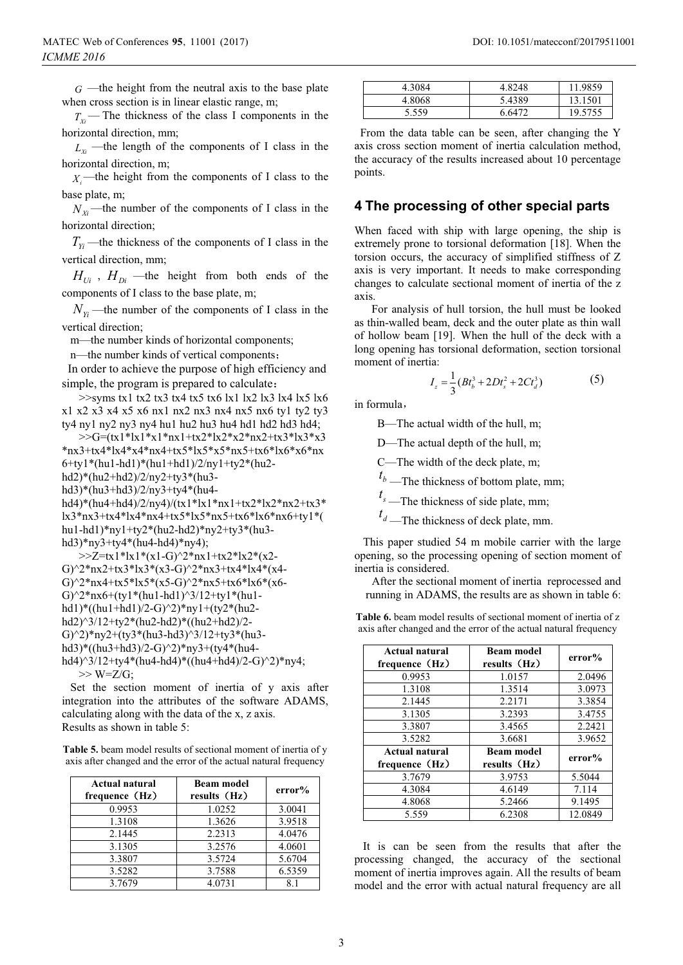$G$  —the height from the neutral axis to the base plate when cross section is in linear elastic range, m;

 $T_{Xi}$ — The thickness of the class I components in the horizontal direction, mm;

 $L_X$  —the length of the components of I class in the horizontal direction, m;

 $X_i$ —the height from the components of I class to the base plate, m;

 $N_{X_i}$ —the number of the components of I class in the horizontal direction;

 $T_{y_i}$ —the thickness of the components of I class in the vertical direction, mm;

 $H_{U_i}$ ,  $H_{Di}$  —the height from both ends of the components of I class to the base plate, m;

 $N_{Y_i}$ —the number of the components of I class in the vertical direction;

m—the number kinds of horizontal components;

n—the number kinds of vertical components;

In order to achieve the purpose of high efficiency and simple, the program is prepared to calculate:

 $\gg$ syms tx1 tx2 tx3 tx4 tx5 tx6 lx1 lx2 lx3 lx4 lx5 lx6 x1 x2 x3 x4 x5 x6 nx1 nx2 nx3 nx4 nx5 nx6 ty1 ty2 ty3 ty4 ny1 ny2 ny3 ny4 hu1 hu2 hu3 hu4 hd1 hd2 hd3 hd4;

 $>>$ G=(tx1\*lx1\*x1\*nx1+tx2\*lx2\*x2\*nx2+tx3\*lx3\*x3 \*nx3+tx4\*lx4\*x4\*nx4+tx5\*lx5\*x5\*nx5+tx6\*lx6\*x6\*nx 6+ty1\*(hu1-hd1)\*(hu1+hd1)/2/ny1+ty2\*(hu2 hd2)\*(hu2+hd2)/2/ny2+ty3\*(hu3 hd3)\*(hu3+hd3)/2/ny3+ty4\*(hu4 hd4)\*(hu4+hd4)/2/ny4)/(tx1\*lx1\*nx1+tx2\*lx2\*nx2+tx3\* lx3\*nx3+tx4\*lx4\*nx4+tx5\*lx5\*nx5+tx6\*lx6\*nx6+ty1\*( hu1-hd1)\*ny1+ty2\*(hu2-hd2)\*ny2+ty3\*(hu3-

hd3)\*ny3+ty4\*(hu4-hd4)\*ny4); >>Z=tx1\*lx1\*(x1-G)^2\*nx1+tx2\*lx2\*(x2-G)^2\*nx2+tx3\*lx3\*(x3-G)^2\*nx3+tx4\*lx4\*(x4-G)^2\*nx4+tx5\*lx5\*(x5-G)^2\*nx5+tx6\*lx6\*(x6-G $^2$ \*nx6+(ty1\*(hu1-hd1)^3/12+ty1\*(hu1hd1)\*((hu1+hd1)/2-G)^2)\*ny1+(ty2\*(hu2 hd2)^3/12+ty2\*(hu2-hd2)\*((hu2+hd2)/2- G $^{\circ}$ 2)\*ny2+(ty3\*(hu3-hd3)^3/12+ty3\*(hu3hd3)\*((hu3+hd3)/2-G)^2)\*ny3+(ty4\*(hu4 hd4)^3/12+ty4\*(hu4-hd4)\*((hu4+hd4)/2-G)^2)\*ny4;  $>>$  W=Z/G;

 Set the section moment of inertia of y axis after integration into the attributes of the software ADAMS, calculating along with the data of the x, z axis. Results as shown in table 5:

**Table 5.** beam model results of sectional moment of inertia of y axis after changed and the error of the actual natural frequency

| <b>Actual natural</b><br>frequence (Hz) | <b>Beam model</b><br>results (Hz) | error% |
|-----------------------------------------|-----------------------------------|--------|
| 0.9953                                  | 1.0252                            | 3.0041 |
| 1.3108                                  | 1.3626                            | 3.9518 |
| 2.1445                                  | 2.2313                            | 4.0476 |
| 3.1305                                  | 3.2576                            | 4.0601 |
| 3.3807                                  | 3.5724                            | 5.6704 |
| 3.5282                                  | 3.7588                            | 6.5359 |
| 3.7679                                  | 4.0731                            | 81     |

| DOI: 10.1051/matecconf/20179511001 |  |
|------------------------------------|--|
|                                    |  |

| 4.3084 | 4.8248 | 11.9859 |
|--------|--------|---------|
| 4.8068 | 5.4389 | 13.1501 |
| 5.559  | 6.6472 | 19.5755 |

 From the data table can be seen, after changing the Y axis cross section moment of inertia calculation method, the accuracy of the results increased about 10 percentage points.

### **4 The processing of other special parts**

When faced with ship with large opening, the ship is extremely prone to torsional deformation [18]. When the torsion occurs, the accuracy of simplified stiffness of Z axis is very important. It needs to make corresponding changes to calculate sectional moment of inertia of the z axis.

For analysis of hull torsion, the hull must be looked as thin-walled beam, deck and the outer plate as thin wall of hollow beam [19]. When the hull of the deck with a long opening has torsional deformation, section torsional moment of inertia:

$$
I_z = \frac{1}{3}(Bt_b^3 + 2Dt_s^2 + 2Ct_d^3)
$$
 (5)

in formula,

B—The actual width of the hull, m;

D—The actual depth of the hull, m;

C—The width of the deck plate, m;

 $t<sub>b</sub>$  —The thickness of bottom plate, mm;

 $t_s$ —The thickness of side plate, mm;

 $t_d$ —The thickness of deck plate, mm.

 This paper studied 54 m mobile carrier with the large opening, so the processing opening of section moment of inertia is considered.

After the sectional moment of inertia reprocessed and running in ADAMS, the results are as shown in table 6:

**Table 6.** beam model results of sectional moment of inertia of z axis after changed and the error of the actual natural frequency

| Actual natural<br>frequence (Hz) | <b>Beam model</b><br>results (Hz) | error%  |
|----------------------------------|-----------------------------------|---------|
| 0.9953                           | 1.0157                            | 2.0496  |
| 1.3108                           | 1.3514                            | 3.0973  |
| 2.1445                           | 2.2171                            | 3.3854  |
| 3.1305                           | 3.2393                            | 3.4755  |
| 3.3807                           | 3.4565                            | 2.2421  |
| 3.5282                           | 3.6681                            | 3.9652  |
| Actual natural<br>frequence (Hz) | <b>Beam model</b><br>results (Hz) | error%  |
| 3.7679                           | 3.9753                            | 5.5044  |
| 4.3084                           | 4.6149                            | 7.114   |
| 4.8068                           | 5.2466                            | 9.1495  |
| 5.559                            | 6.2308                            | 12.0849 |

 It is can be seen from the results that after the processing changed, the accuracy of the sectional moment of inertia improves again. All the results of beam model and the error with actual natural frequency are all